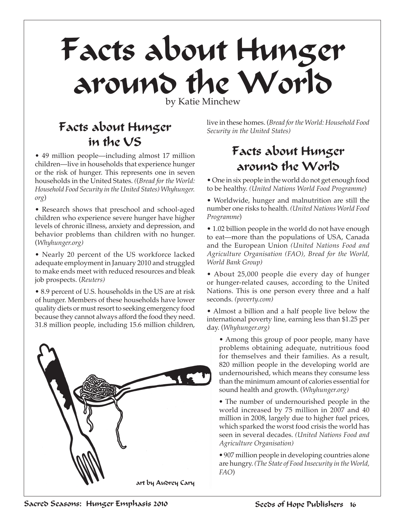# Facts about Hunger around the World

by Katie Minchew

# Facts about Hunger in the US

• 49 million people—including almost 17 million children—live in households that experience hunger or the risk of hunger. This represents one in seven households in the United States. *(*(*Bread for the World: Household Food Security in the United States) Whyhunger. org*)

• Research shows that preschool and school-aged children who experience severe hunger have higher levels of chronic illness, anxiety and depression, and behavior problems than children with no hunger. (*Whyhunger.org)*

• Nearly 20 percent of the US workforce lacked adequate employment in January 2010 and struggled to make ends meet with reduced resources and bleak job prospects. (*Reuters)*

• 8.9 percent of U.S. households in the US are at risk of hunger. Members of these households have lower quality diets or must resort to seeking emergency food because they cannot always afford the food they need. 31.8 million people, including 15.6 million children,



live in these homes. (*Bread for the World: Household Food Security in the United States)*

## Facts about Hunger around the World

• One in six people in the world do not get enough food to be healthy. *(United Nations World Food Programme*)

• Worldwide, hunger and malnutrition are still the number one risks to health. *(United Nations World Food Programme*)

• 1.02 billion people in the world do not have enough to eat—more than the populations of USA, Canada and the European Union *(United Nations Food and Agriculture Organisation (FAO), Bread for the World, World Bank Group)*

• About 25,000 people die every day of hunger or hunger-related causes, according to the United Nations. This is one person every three and a half seconds. *(poverty.com)*

• Almost a billion and a half people live below the international poverty line, earning less than \$1.25 per day. (*Whyhunger.org)*

• Among this group of poor people, many have problems obtaining adequate, nutritious food for themselves and their families. As a result, 820 million people in the developing world are undernourished, which means they consume less than the minimum amount of calories essential for sound health and growth. (*Whyhunger.org)*

*•* The number of undernourished people in the world increased by 75 million in 2007 and 40 million in 2008, largely due to higher fuel prices, which sparked the worst food crisis the world has seen in several decades. *(United Nations Food and Agriculture Organisation)*

*•* 907 million people in developing countries alone are hungry. *(The State of Food Insecurity in the World, FAO*)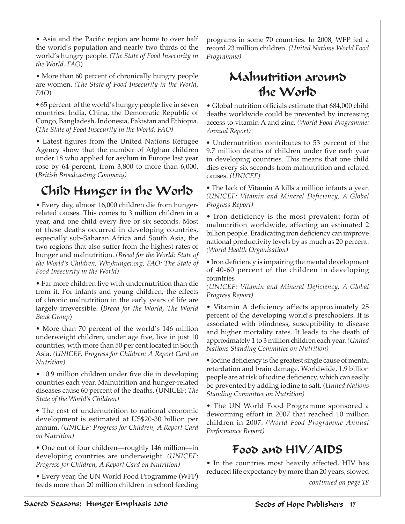• More than 60 percent of chronically hungry people are women. *(The State of Food Insecurity in the World, FAO*)

*•* 65 percent of the world's hungry people live in seven countries: India, China, the Democratic Republic of Congo, Bangladesh, Indonesia, Pakistan and Ethiopia. (*The State of Food Insecurity in the World, FAO)*

• Latest figures from the United Nations Refugee Agency show that the number of Afghan children under 18 who applied for asylum in Europe last year rose by 64 percent, from 3,800 to more than 6,000. (*British Broadcasting Company)*

## Child Hunger in the World

• Every day, almost 16,000 children die from hungerrelated causes. This comes to 3 million children in a year, and one child every five or six seconds. Most of these deaths occurred in developing countries, especially sub-Saharan Africa and South Asia, the two regions that also suffer from the highest rates of hunger and malnutrition. *(Bread for the World: State of the World's Children, Whyhunger.org, FAO: The State of Food Insecurity in the World)*

• Far more children live with undernutrition than die from it. For infants and young children, the effects of chronic malnutrition in the early years of life are largely irreversible. (*Bread for the World*, *The World Bank Group*)

• More than 70 percent of the world's 146 million underweight children, under age five, live in just 10 countries, with more than 50 per cent located in South Asia. *(UNICEF, Progress for Children: A Report Card on Nutrition)*

• 10.9 million children under five die in developing countries each year. Malnutrition and hunger-related diseases cause 60 percent of the deaths. (UNICEF: *The State of the World's Children)*

*•* The cost of undernutrition to national economic development is estimated at US\$20-30 billion per annum. *(UNICEF: Progress for Children, A Report Card on Nutrition)*

• One out of four children—roughly 146 million—in developing countries are underweight. *(UNICEF: Progress for Children, A Report Card on Nutrition)*

• Every year, the UN World Food Programme (WFP) feeds more than 20 million children in school feeding programs in some 70 countries. In 2008, WFP fed a record 23 million children. *(United Nations World Food Programme)*

## Malnutrition around the World

• Global nutrition officials estimate that 684,000 child deaths worldwide could be prevented by increasing access to vitamin A and zinc. *(World Food Programme: Annual Report)*

*•* Undernutrition contributes to 53 percent of the 9.7 million deaths of children under five each year in developing countries. This means that one child dies every six seconds from malnutrition and related causes. *(UNICEF)*

*•* The lack of Vitamin A kills a million infants a year. *(UNICEF: Vitamin and Mineral Deficiency, A Global Progress Report)*

• Iron deficiency is the most prevalent form of malnutrition worldwide, affecting an estimated 2 billion people. Eradicating iron deficiency can improve national productivity levels by as much as 20 percent. *(World Health Organisation)*

*•* Iron deficiency is impairing the mental development of 40-60 percent of the children in developing countries

*(UNICEF: Vitamin and Mineral Deficiency, A Global Progress Report)*

• Vitamin A deficiency affects approximately 25 percent of the developing world's preschoolers. It is associated with blindness, susceptibility to disease and higher mortality rates. It leads to the death of approximately 1 to 3 million children each year. *(United Nations Standing Committee on Nutrition)*

*•* Iodine deficiency is the greatest single cause of mental retardation and brain damage. Worldwide, 1.9 billion people are at risk of iodine deficiency, which can easily be prevented by adding iodine to salt. (*United Nations Standing Committee on Nutrition)*

• The UN World Food Programme sponsored a deworming effort in 2007 that reached 10 million children in 2007. *(World Food Programme Annual Performance Report)*

#### Food and HIV/AIDS

• In the countries most heavily affected, HIV has reduced life expectancy by more than 20 years, slowed

*continued on page 18*